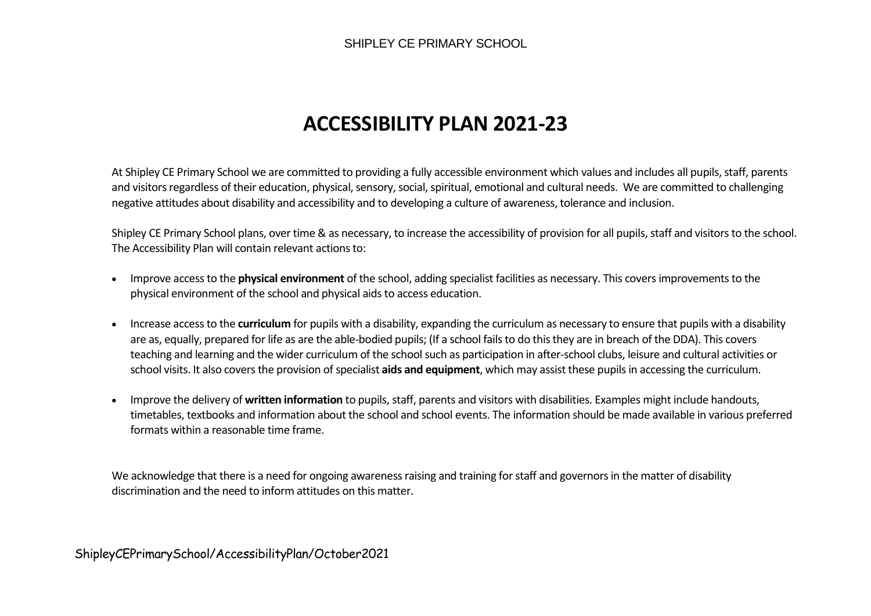## **ACCESSIBILITY PLAN 2021-23**

At Shipley CE Primary School we are committed to providing a fully accessible environment which values and includes all pupils, staff, parents and visitors regardless of their education, physical, sensory, social, spiritual, emotional and cultural needs. We are committed to challenging negative attitudes about disability and accessibility and to developing a culture of awareness, tolerance and inclusion.

Shipley CE Primary School plans, over time & as necessary, to increase the accessibility of provision for all pupils, staff and visitors to the school. The Accessibility Plan will contain relevant actions to:

- Improve access to the **physical environment** of the school, adding specialist facilities as necessary. This covers improvements to the physical environment of the school and physical aids to access education.
- Increase access to the **curriculum** for pupils with a disability, expanding the curriculum as necessary to ensure that pupils with a disability are as, equally, prepared for life as are the able-bodied pupils; (If a school fails to do this they are in breach of the DDA). This covers teaching and learning and the wider curriculum of the school such as participation in after-school clubs, leisure and cultural activities or school visits. It also covers the provision of specialist **aids and equipment**, which may assist these pupils in accessing the curriculum.
- Improve the delivery of **written information** to pupils, staff, parents and visitors with disabilities. Examples might include handouts, timetables, textbooks and information about the school and school events. The information should be made available in various preferred formats within a reasonable time frame.

We acknowledge that there is a need for ongoing awareness raising and training for staff and governors in the matter of disability discrimination and the need to inform attitudes on this matter.

ShipleyCEPrimarySchool/AccessibilityPlan/October2021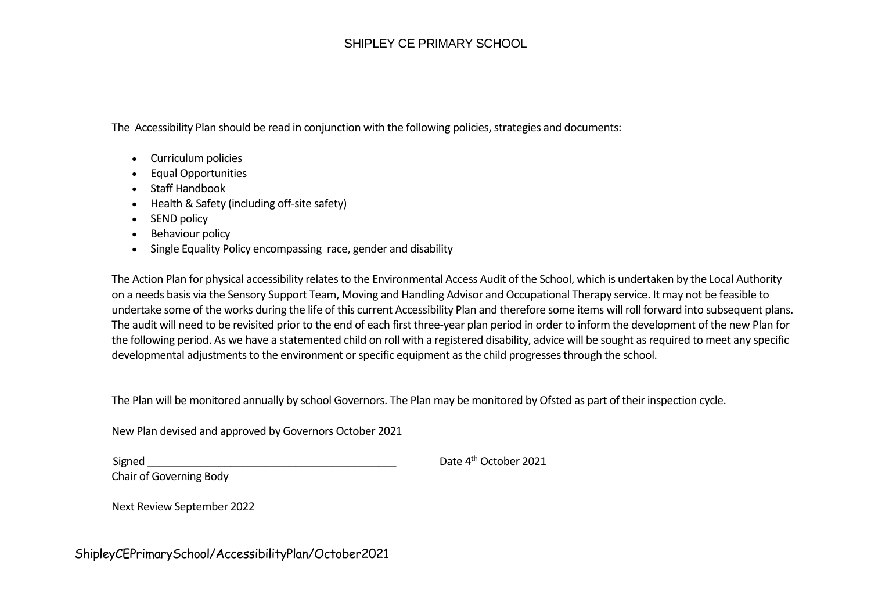## SHIPLEY CE PRIMARY SCHOOL

The Accessibility Plan should be read in conjunction with the following policies, strategies and documents:

- Curriculum policies
- Equal Opportunities
- Staff Handbook
- Health & Safety (including off-site safety)
- SEND policy
- Behaviour policy
- Single Equality Policy encompassing race, gender and disability

The Action Plan for physical accessibility relates to the Environmental Access Audit of the School, which is undertaken by the Local Authority on a needs basis via the Sensory Support Team, Moving and Handling Advisor and Occupational Therapy service. It may not be feasible to undertake some of the works during the life of this current Accessibility Plan and therefore some items will roll forward into subsequent plans. The audit will need to be revisited prior to the end of each first three-year plan period in order to inform the development of the new Plan for the following period. As we have a statemented child on roll with a registered disability, advice will be sought as required to meet any specific developmental adjustments to the environment or specific equipment as the child progresses through the school.

The Plan will be monitored annually by school Governors. The Plan may be monitored by Ofsted as part of their inspection cycle.

New Plan devised and approved by Governors October 2021

Signed **Signed Signed Signed Signed Signed COLORE COLORE COLORE COLORE COLORE COLORE COLORE COLORE COLORE COLORE COLORE COLORE COLORE COLORE COLORE COLORE COLORE COLORE COLORE** 

Chair of Governing Body

Next Review September 2022

ShipleyCEPrimarySchool/AccessibilityPlan/October2021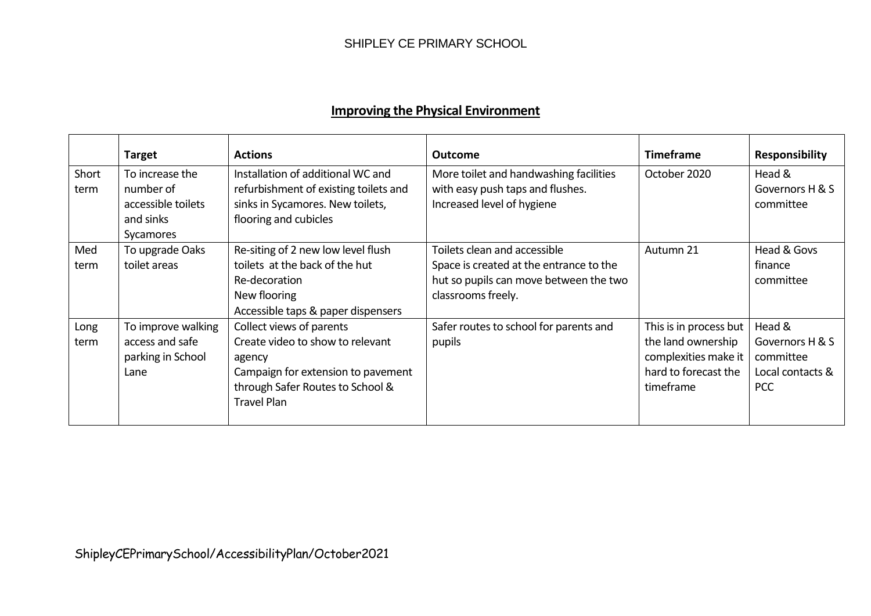|               | <b>Target</b>                                                                | <b>Actions</b>                                                                                                                                                         | <b>Outcome</b>                                                                                                                          | <b>Timeframe</b>                                                                                          | Responsibility                                                           |
|---------------|------------------------------------------------------------------------------|------------------------------------------------------------------------------------------------------------------------------------------------------------------------|-----------------------------------------------------------------------------------------------------------------------------------------|-----------------------------------------------------------------------------------------------------------|--------------------------------------------------------------------------|
| Short<br>term | To increase the<br>number of<br>accessible toilets<br>and sinks<br>Sycamores | Installation of additional WC and<br>refurbishment of existing toilets and<br>sinks in Sycamores. New toilets,<br>flooring and cubicles                                | More toilet and handwashing facilities<br>with easy push taps and flushes.<br>Increased level of hygiene                                | October 2020                                                                                              | Head &<br>Governors H & S<br>committee                                   |
| Med<br>term   | To upgrade Oaks<br>toilet areas                                              | Re-siting of 2 new low level flush<br>toilets at the back of the hut<br>Re-decoration<br>New flooring<br>Accessible taps & paper dispensers                            | Toilets clean and accessible<br>Space is created at the entrance to the<br>hut so pupils can move between the two<br>classrooms freely. | Autumn 21                                                                                                 | Head & Govs<br>finance<br>committee                                      |
| Long<br>term  | To improve walking<br>access and safe<br>parking in School<br>Lane           | Collect views of parents<br>Create video to show to relevant<br>agency<br>Campaign for extension to pavement<br>through Safer Routes to School &<br><b>Travel Plan</b> | Safer routes to school for parents and<br>pupils                                                                                        | This is in process but<br>the land ownership<br>complexities make it<br>hard to forecast the<br>timeframe | Head &<br>Governors H & S<br>committee<br>Local contacts &<br><b>PCC</b> |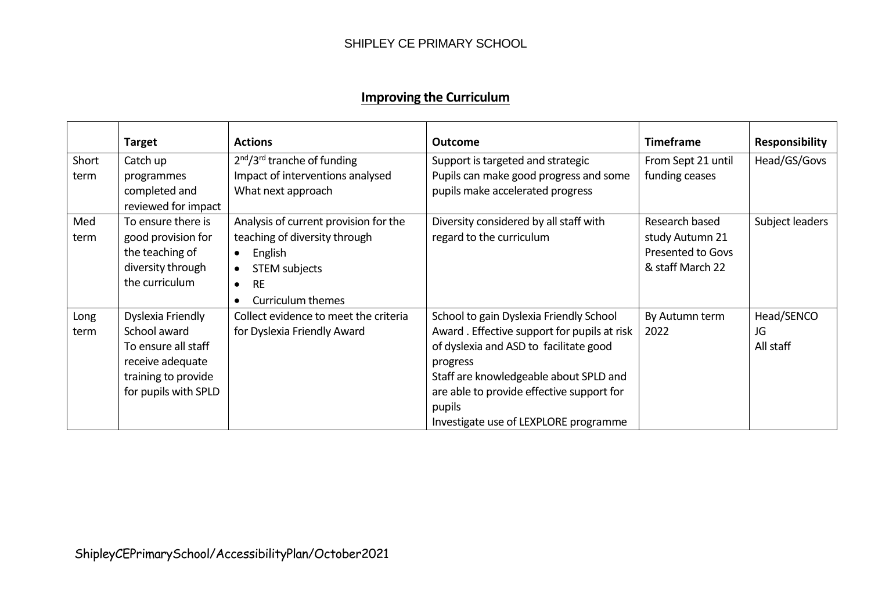## **Improving the Curriculum**

|               | <b>Target</b>                                          | <b>Actions</b>                                                         | <b>Outcome</b>                                                                         | <b>Timeframe</b>                             | <b>Responsibility</b> |
|---------------|--------------------------------------------------------|------------------------------------------------------------------------|----------------------------------------------------------------------------------------|----------------------------------------------|-----------------------|
| Short<br>term | Catch up<br>programmes                                 | $2nd/3rd$ tranche of funding<br>Impact of interventions analysed       | Support is targeted and strategic<br>Pupils can make good progress and some            | From Sept 21 until<br>funding ceases         | Head/GS/Govs          |
|               | completed and<br>reviewed for impact                   | What next approach                                                     | pupils make accelerated progress                                                       |                                              |                       |
| Med<br>term   | To ensure there is<br>good provision for               | Analysis of current provision for the<br>teaching of diversity through | Diversity considered by all staff with<br>regard to the curriculum                     | Research based<br>study Autumn 21            | Subject leaders       |
|               | the teaching of<br>diversity through<br>the curriculum | English<br>$\bullet$<br><b>STEM subjects</b><br>$\bullet$              |                                                                                        | <b>Presented to Govs</b><br>& staff March 22 |                       |
|               |                                                        | <b>RE</b><br>$\bullet$<br>Curriculum themes<br>$\bullet$               |                                                                                        |                                              |                       |
| Long<br>term  | Dyslexia Friendly<br>School award                      | Collect evidence to meet the criteria<br>for Dyslexia Friendly Award   | School to gain Dyslexia Friendly School<br>Award. Effective support for pupils at risk | By Autumn term<br>2022                       | Head/SENCO<br>JG      |
|               | To ensure all staff<br>receive adequate                |                                                                        | of dyslexia and ASD to facilitate good<br>progress                                     |                                              | All staff             |
|               | training to provide                                    |                                                                        | Staff are knowledgeable about SPLD and                                                 |                                              |                       |
|               | for pupils with SPLD                                   |                                                                        | are able to provide effective support for<br>pupils                                    |                                              |                       |
|               |                                                        |                                                                        | Investigate use of LEXPLORE programme                                                  |                                              |                       |